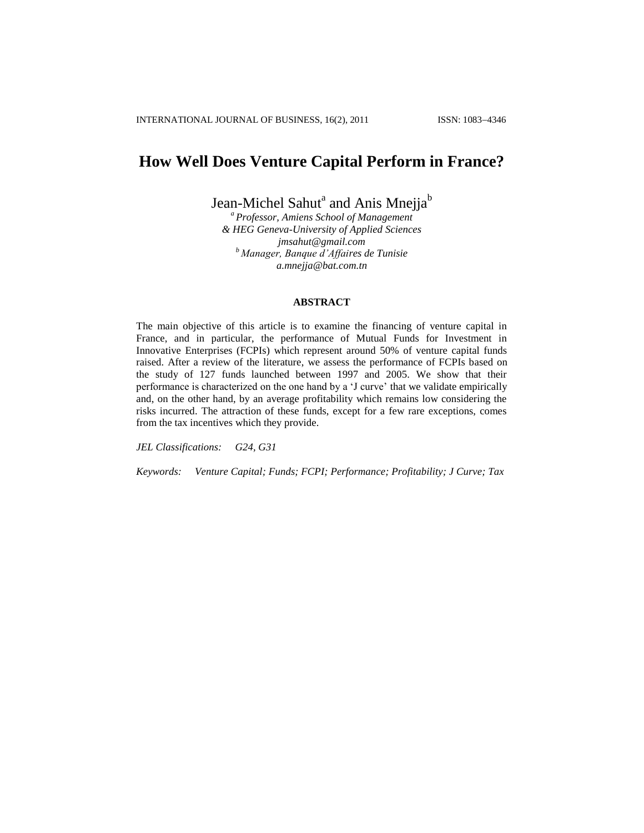# **How Well Does Venture Capital Perform in France?**

Jean-Michel Sahut $^{\rm a}$  and Anis Mnejja $^{\rm b}$ 

*<sup>a</sup> Professor, Amiens School of Management & HEG Geneva-University of Applied Sciences [jmsahut@gmail.com](mailto:jmsahut@gmail.com) <sup>b</sup> Manager, Banque d'Affaires de Tunisie a.mnejja@bat.com.tn*

#### **ABSTRACT**

The main objective of this article is to examine the financing of venture capital in France, and in particular, the performance of Mutual Funds for Investment in Innovative Enterprises (FCPIs) which represent around 50% of venture capital funds raised. After a review of the literature, we assess the performance of FCPIs based on the study of 127 funds launched between 1997 and 2005. We show that their performance is characterized on the one hand by a 'J curve' that we validate empirically and, on the other hand, by an average profitability which remains low considering the risks incurred. The attraction of these funds, except for a few rare exceptions, comes from the tax incentives which they provide.

*JEL Classifications: G24, G31*

*Keywords: Venture Capital; Funds; FCPI; Performance; Profitability; J Curve; Tax*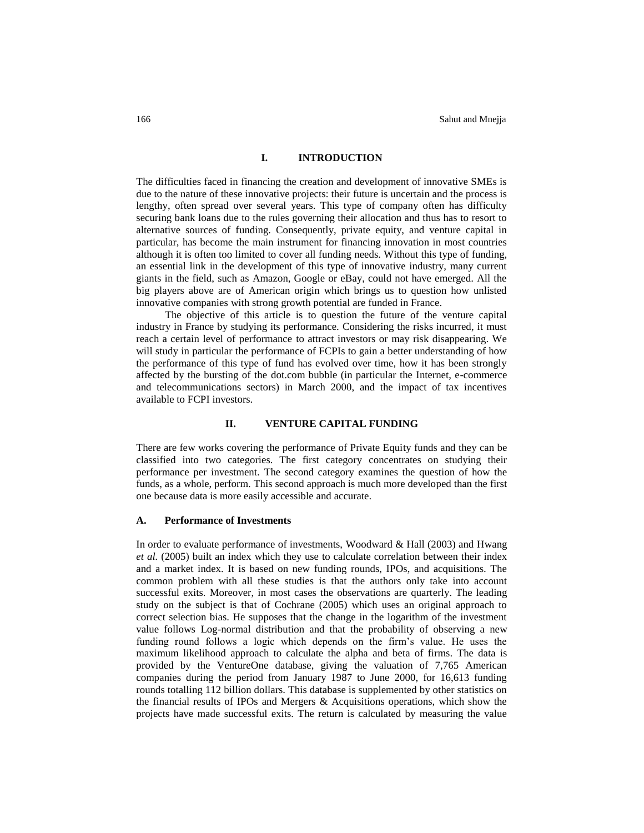## **I. INTRODUCTION**

The difficulties faced in financing the creation and development of innovative SMEs is due to the nature of these innovative projects: their future is uncertain and the process is lengthy, often spread over several years. This type of company often has difficulty securing bank loans due to the rules governing their allocation and thus has to resort to alternative sources of funding. Consequently, private equity, and venture capital in particular, has become the main instrument for financing innovation in most countries although it is often too limited to cover all funding needs. Without this type of funding, an essential link in the development of this type of innovative industry, many current giants in the field, such as Amazon, Google or eBay, could not have emerged. All the big players above are of American origin which brings us to question how unlisted innovative companies with strong growth potential are funded in France.

The objective of this article is to question the future of the venture capital industry in France by studying its performance. Considering the risks incurred, it must reach a certain level of performance to attract investors or may risk disappearing. We will study in particular the performance of FCPIs to gain a better understanding of how the performance of this type of fund has evolved over time, how it has been strongly affected by the bursting of the dot.com bubble (in particular the Internet, e-commerce and telecommunications sectors) in March 2000, and the impact of tax incentives available to FCPI investors.

#### **II. VENTURE CAPITAL FUNDING**

There are few works covering the performance of Private Equity funds and they can be classified into two categories. The first category concentrates on studying their performance per investment. The second category examines the question of how the funds, as a whole, perform. This second approach is much more developed than the first one because data is more easily accessible and accurate.

#### **A. Performance of Investments**

In order to evaluate performance of investments, Woodward & Hall (2003) and Hwang *et al.* (2005) built an index which they use to calculate correlation between their index and a market index. It is based on new funding rounds, IPOs, and acquisitions. The common problem with all these studies is that the authors only take into account successful exits. Moreover, in most cases the observations are quarterly. The leading study on the subject is that of Cochrane (2005) which uses an original approach to correct selection bias. He supposes that the change in the logarithm of the investment value follows Log-normal distribution and that the probability of observing a new funding round follows a logic which depends on the firm"s value. He uses the maximum likelihood approach to calculate the alpha and beta of firms. The data is provided by the VentureOne database, giving the valuation of 7,765 American companies during the period from January 1987 to June 2000, for 16,613 funding rounds totalling 112 billion dollars. This database is supplemented by other statistics on the financial results of IPOs and Mergers  $\&$  Acquisitions operations, which show the projects have made successful exits. The return is calculated by measuring the value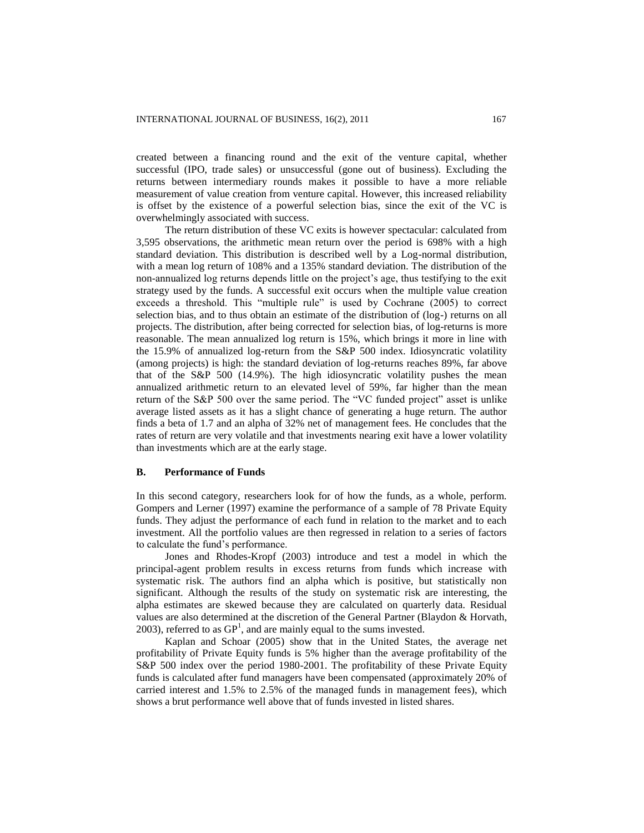created between a financing round and the exit of the venture capital, whether successful (IPO, trade sales) or unsuccessful (gone out of business). Excluding the returns between intermediary rounds makes it possible to have a more reliable measurement of value creation from venture capital. However, this increased reliability is offset by the existence of a powerful selection bias, since the exit of the VC is overwhelmingly associated with success.

The return distribution of these VC exits is however spectacular: calculated from 3,595 observations, the arithmetic mean return over the period is 698% with a high standard deviation. This distribution is described well by a Log-normal distribution, with a mean log return of 108% and a 135% standard deviation. The distribution of the non-annualized log returns depends little on the project's age, thus testifying to the exit strategy used by the funds. A successful exit occurs when the multiple value creation exceeds a threshold. This "multiple rule" is used by Cochrane (2005) to correct selection bias, and to thus obtain an estimate of the distribution of (log-) returns on all projects. The distribution, after being corrected for selection bias, of log-returns is more reasonable. The mean annualized log return is 15%, which brings it more in line with the 15.9% of annualized log-return from the S&P 500 index. Idiosyncratic volatility (among projects) is high: the standard deviation of log-returns reaches 89%, far above that of the S&P 500 (14.9%). The high idiosyncratic volatility pushes the mean annualized arithmetic return to an elevated level of 59%, far higher than the mean return of the S&P 500 over the same period. The "VC funded project" asset is unlike average listed assets as it has a slight chance of generating a huge return. The author finds a beta of 1.7 and an alpha of 32% net of management fees. He concludes that the rates of return are very volatile and that investments nearing exit have a lower volatility than investments which are at the early stage.

#### **B. Performance of Funds**

In this second category, researchers look for of how the funds, as a whole, perform. Gompers and Lerner (1997) examine the performance of a sample of 78 Private Equity funds. They adjust the performance of each fund in relation to the market and to each investment. All the portfolio values are then regressed in relation to a series of factors to calculate the fund"s performance.

Jones and Rhodes-Kropf (2003) introduce and test a model in which the principal-agent problem results in excess returns from funds which increase with systematic risk. The authors find an alpha which is positive, but statistically non significant. Although the results of the study on systematic risk are interesting, the alpha estimates are skewed because they are calculated on quarterly data. Residual values are also determined at the discretion of the General Partner (Blaydon & Horvath, 2003), referred to as  $GP<sup>1</sup>$ , and are mainly equal to the sums invested.

Kaplan and Schoar (2005) show that in the United States, the average net profitability of Private Equity funds is 5% higher than the average profitability of the S&P 500 index over the period 1980-2001. The profitability of these Private Equity funds is calculated after fund managers have been compensated (approximately 20% of carried interest and 1.5% to 2.5% of the managed funds in management fees), which shows a brut performance well above that of funds invested in listed shares.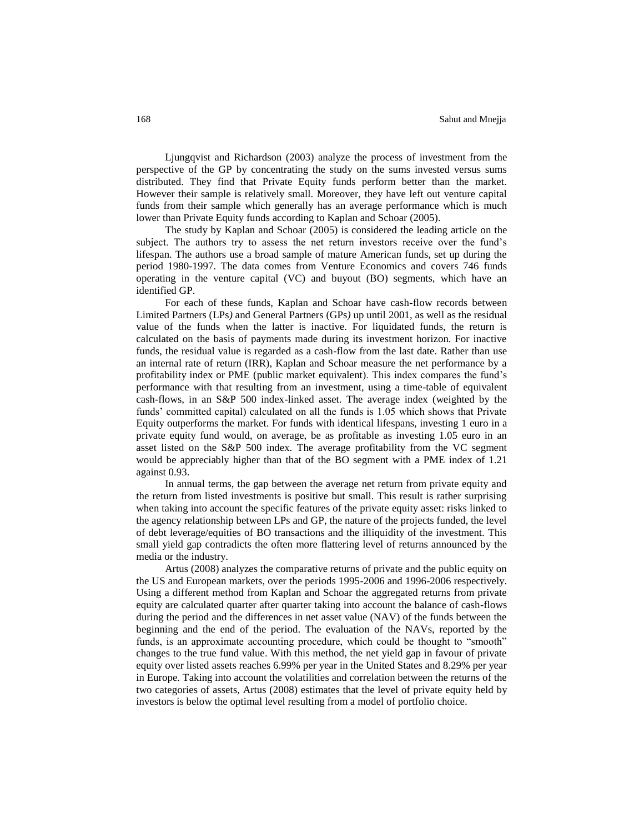Ljungqvist and Richardson (2003) analyze the process of investment from the perspective of the GP by concentrating the study on the sums invested versus sums distributed. They find that Private Equity funds perform better than the market. However their sample is relatively small. Moreover, they have left out venture capital funds from their sample which generally has an average performance which is much lower than Private Equity funds according to Kaplan and Schoar (2005).

The study by Kaplan and Schoar (2005) is considered the leading article on the subject. The authors try to assess the net return investors receive over the fund"s lifespan. The authors use a broad sample of mature American funds, set up during the period 1980-1997. The data comes from Venture Economics and covers 746 funds operating in the venture capital (VC) and buyout (BO) segments, which have an identified GP.

For each of these funds, Kaplan and Schoar have cash-flow records between Limited Partners (LPs*)* and General Partners (GPs*)* up until 2001, as well as the residual value of the funds when the latter is inactive. For liquidated funds, the return is calculated on the basis of payments made during its investment horizon. For inactive funds, the residual value is regarded as a cash-flow from the last date. Rather than use an internal rate of return (IRR), Kaplan and Schoar measure the net performance by a profitability index or PME (public market equivalent). This index compares the fund"s performance with that resulting from an investment, using a time-table of equivalent cash-flows, in an S&P 500 index-linked asset. The average index (weighted by the funds" committed capital) calculated on all the funds is 1.05 which shows that Private Equity outperforms the market. For funds with identical lifespans, investing 1 euro in a private equity fund would, on average, be as profitable as investing 1.05 euro in an asset listed on the S&P 500 index. The average profitability from the VC segment would be appreciably higher than that of the BO segment with a PME index of 1.21 against 0.93.

In annual terms, the gap between the average net return from private equity and the return from listed investments is positive but small. This result is rather surprising when taking into account the specific features of the private equity asset: risks linked to the agency relationship between LPs and GP, the nature of the projects funded, the level of debt leverage/equities of BO transactions and the illiquidity of the investment. This small yield gap contradicts the often more flattering level of returns announced by the media or the industry.

Artus (2008) analyzes the comparative returns of private and the public equity on the US and European markets, over the periods 1995-2006 and 1996-2006 respectively. Using a different method from Kaplan and Schoar the aggregated returns from private equity are calculated quarter after quarter taking into account the balance of cash-flows during the period and the differences in net asset value (NAV) of the funds between the beginning and the end of the period. The evaluation of the NAVs, reported by the funds, is an approximate accounting procedure, which could be thought to "smooth" changes to the true fund value. With this method, the net yield gap in favour of private equity over listed assets reaches 6.99% per year in the United States and 8.29% per year in Europe. Taking into account the volatilities and correlation between the returns of the two categories of assets, Artus (2008) estimates that the level of private equity held by investors is below the optimal level resulting from a model of portfolio choice.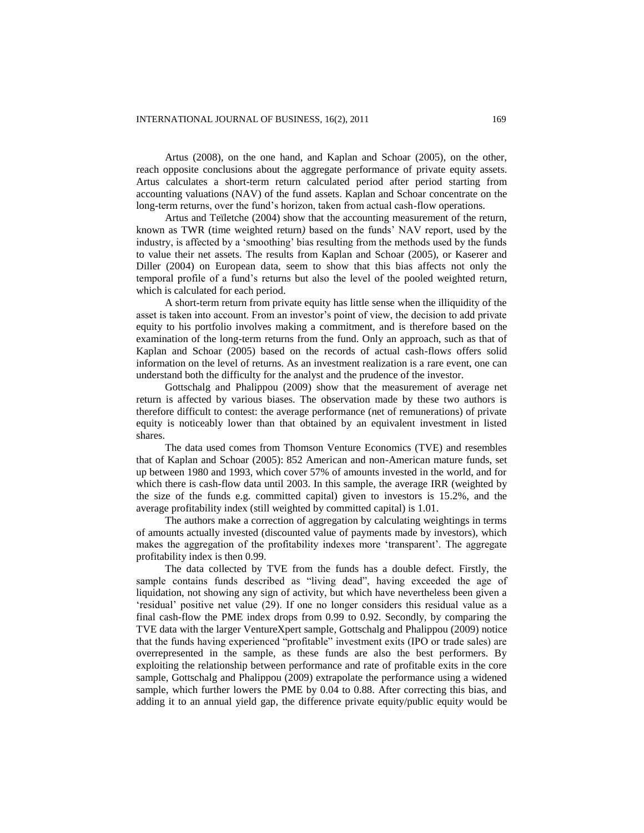Artus (2008), on the one hand, and Kaplan and Schoar (2005), on the other, reach opposite conclusions about the aggregate performance of private equity assets. Artus calculates a short-term return calculated period after period starting from accounting valuations (NAV) of the fund assets. Kaplan and Schoar concentrate on the long-term returns, over the fund"s horizon, taken from actual cash-flow operations.

Artus and Teïletche (2004) show that the accounting measurement of the return, known as TWR (time weighted return*)* based on the funds" NAV report, used by the industry, is affected by a "smoothing" bias resulting from the methods used by the funds to value their net assets. The results from Kaplan and Schoar (2005), or Kaserer and Diller (2004) on European data, seem to show that this bias affects not only the temporal profile of a fund"s returns but also the level of the pooled weighted return, which is calculated for each period.

A short-term return from private equity has little sense when the illiquidity of the asset is taken into account. From an investor"s point of view, the decision to add private equity to his portfolio involves making a commitment, and is therefore based on the examination of the long-term returns from the fund. Only an approach, such as that of Kaplan and Schoar (2005) based on the records of actual cash-flow*s* offers solid information on the level of returns. As an investment realization is a rare event, one can understand both the difficulty for the analyst and the prudence of the investor.

Gottschalg and Phalippou (2009) show that the measurement of average net return is affected by various biases. The observation made by these two authors is therefore difficult to contest: the average performance (net of remunerations) of private equity is noticeably lower than that obtained by an equivalent investment in listed shares.

The data used comes from Thomson Venture Economics (TVE) and resembles that of Kaplan and Schoar (2005): 852 American and non-American mature funds, set up between 1980 and 1993, which cover 57% of amounts invested in the world, and for which there is cash-flow data until 2003. In this sample, the average IRR (weighted by the size of the funds e.g. committed capital) given to investors is 15.2%, and the average profitability index (still weighted by committed capital) is 1.01.

The authors make a correction of aggregation by calculating weightings in terms of amounts actually invested (discounted value of payments made by investors), which makes the aggregation of the profitability indexes more "transparent". The aggregate profitability index is then 0.99.

The data collected by TVE from the funds has a double defect. Firstly, the sample contains funds described as "living dead", having exceeded the age of liquidation, not showing any sign of activity, but which have nevertheless been given a "residual" positive net value (29). If one no longer considers this residual value as a final cash-flow the PME index drops from 0.99 to 0.92. Secondly, by comparing the TVE data with the larger VentureXpert sample, Gottschalg and Phalippou (2009) notice that the funds having experienced "profitable" investment exits (IPO or trade sales) are overrepresented in the sample, as these funds are also the best performers. By exploiting the relationship between performance and rate of profitable exits in the core sample, Gottschalg and Phalippou (2009) extrapolate the performance using a widened sample, which further lowers the PME by 0.04 to 0.88. After correcting this bias, and adding it to an annual yield gap, the difference private equity/public equit*y* would be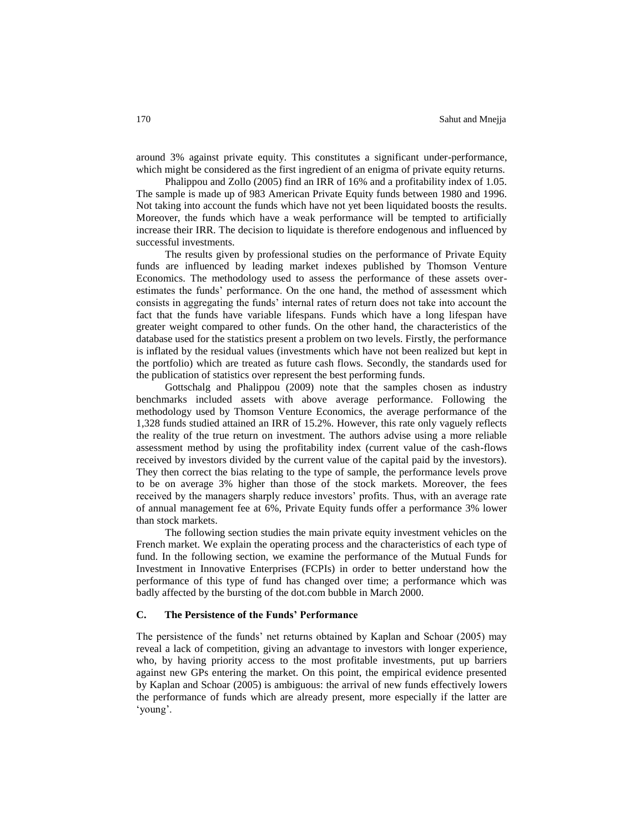around 3% against private equity. This constitutes a significant under-performance, which might be considered as the first ingredient of an enigma of private equity returns.

Phalippou and Zollo (2005) find an IRR of 16% and a profitability index of 1.05. The sample is made up of 983 American Private Equity funds between 1980 and 1996. Not taking into account the funds which have not yet been liquidated boosts the results. Moreover, the funds which have a weak performance will be tempted to artificially increase their IRR. The decision to liquidate is therefore endogenous and influenced by successful investments.

The results given by professional studies on the performance of Private Equity funds are influenced by leading market indexes published by Thomson Venture Economics. The methodology used to assess the performance of these assets overestimates the funds" performance. On the one hand, the method of assessment which consists in aggregating the funds" internal rates of return does not take into account the fact that the funds have variable lifespans. Funds which have a long lifespan have greater weight compared to other funds. On the other hand, the characteristics of the database used for the statistics present a problem on two levels. Firstly, the performance is inflated by the residual values (investments which have not been realized but kept in the portfolio) which are treated as future cash flows. Secondly, the standards used for the publication of statistics over represent the best performing funds.

Gottschalg and Phalippou (2009) note that the samples chosen as industry benchmarks included assets with above average performance. Following the methodology used by Thomson Venture Economics, the average performance of the 1,328 funds studied attained an IRR of 15.2%. However, this rate only vaguely reflects the reality of the true return on investment. The authors advise using a more reliable assessment method by using the profitability index (current value of the cash-flows received by investors divided by the current value of the capital paid by the investors). They then correct the bias relating to the type of sample, the performance levels prove to be on average 3% higher than those of the stock markets. Moreover, the fees received by the managers sharply reduce investors" profits. Thus, with an average rate of annual management fee at 6%, Private Equity funds offer a performance 3% lower than stock markets.

The following section studies the main private equity investment vehicles on the French market. We explain the operating process and the characteristics of each type of fund. In the following section, we examine the performance of the Mutual Funds for Investment in Innovative Enterprises (FCPIs) in order to better understand how the performance of this type of fund has changed over time; a performance which was badly affected by the bursting of the dot.com bubble in March 2000.

# **C. The Persistence of the Funds' Performance**

The persistence of the funds" net returns obtained by Kaplan and Schoar (2005) may reveal a lack of competition, giving an advantage to investors with longer experience, who, by having priority access to the most profitable investments, put up barriers against new GPs entering the market. On this point, the empirical evidence presented by Kaplan and Schoar (2005) is ambiguous: the arrival of new funds effectively lowers the performance of funds which are already present, more especially if the latter are 'voung'.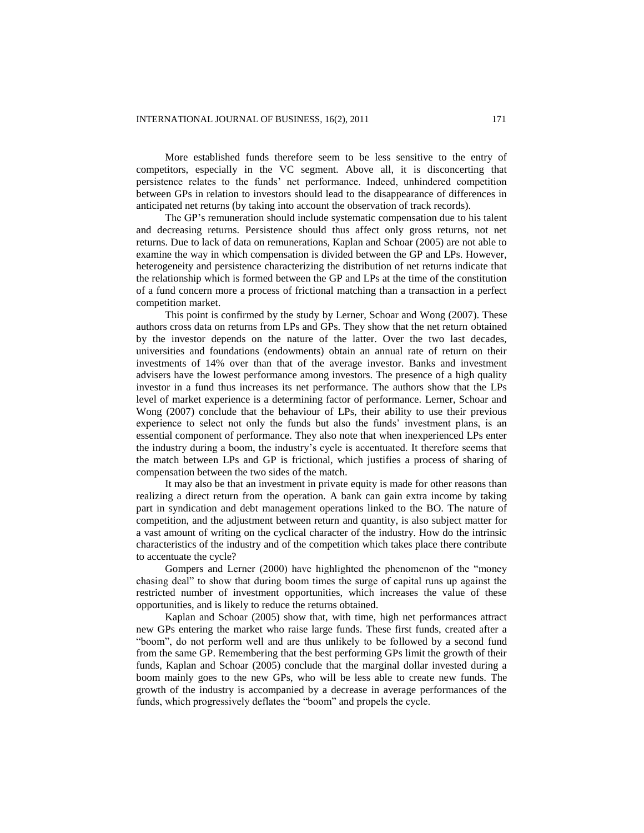More established funds therefore seem to be less sensitive to the entry of competitors, especially in the VC segment. Above all, it is disconcerting that persistence relates to the funds" net performance. Indeed, unhindered competition between GPs in relation to investors should lead to the disappearance of differences in anticipated net returns (by taking into account the observation of track records).

The GP"s remuneration should include systematic compensation due to his talent and decreasing returns. Persistence should thus affect only gross returns, not net returns. Due to lack of data on remunerations, Kaplan and Schoar (2005) are not able to examine the way in which compensation is divided between the GP and LPs. However, heterogeneity and persistence characterizing the distribution of net returns indicate that the relationship which is formed between the GP and LPs at the time of the constitution of a fund concern more a process of frictional matching than a transaction in a perfect competition market.

This point is confirmed by the study by Lerner, Schoar and Wong (2007). These authors cross data on returns from LPs and GPs. They show that the net return obtained by the investor depends on the nature of the latter. Over the two last decades, universities and foundations (endowments) obtain an annual rate of return on their investments of 14% over than that of the average investor. Banks and investment advisers have the lowest performance among investors. The presence of a high quality investor in a fund thus increases its net performance. The authors show that the LPs level of market experience is a determining factor of performance. Lerner, Schoar and Wong (2007) conclude that the behaviour of LPs, their ability to use their previous experience to select not only the funds but also the funds' investment plans, is an essential component of performance. They also note that when inexperienced LPs enter the industry during a boom, the industry"s cycle is accentuated. It therefore seems that the match between LPs and GP is frictional, which justifies a process of sharing of compensation between the two sides of the match.

It may also be that an investment in private equity is made for other reasons than realizing a direct return from the operation. A bank can gain extra income by taking part in syndication and debt management operations linked to the BO. The nature of competition, and the adjustment between return and quantity, is also subject matter for a vast amount of writing on the cyclical character of the industry. How do the intrinsic characteristics of the industry and of the competition which takes place there contribute to accentuate the cycle?

Gompers and Lerner (2000) have highlighted the phenomenon of the "money chasing deal" to show that during boom times the surge of capital runs up against the restricted number of investment opportunities, which increases the value of these opportunities, and is likely to reduce the returns obtained.

Kaplan and Schoar (2005) show that, with time, high net performances attract new GPs entering the market who raise large funds. These first funds, created after a "boom", do not perform well and are thus unlikely to be followed by a second fund from the same GP. Remembering that the best performing GPs limit the growth of their funds, Kaplan and Schoar (2005) conclude that the marginal dollar invested during a boom mainly goes to the new GPs, who will be less able to create new funds. The growth of the industry is accompanied by a decrease in average performances of the funds, which progressively deflates the "boom" and propels the cycle.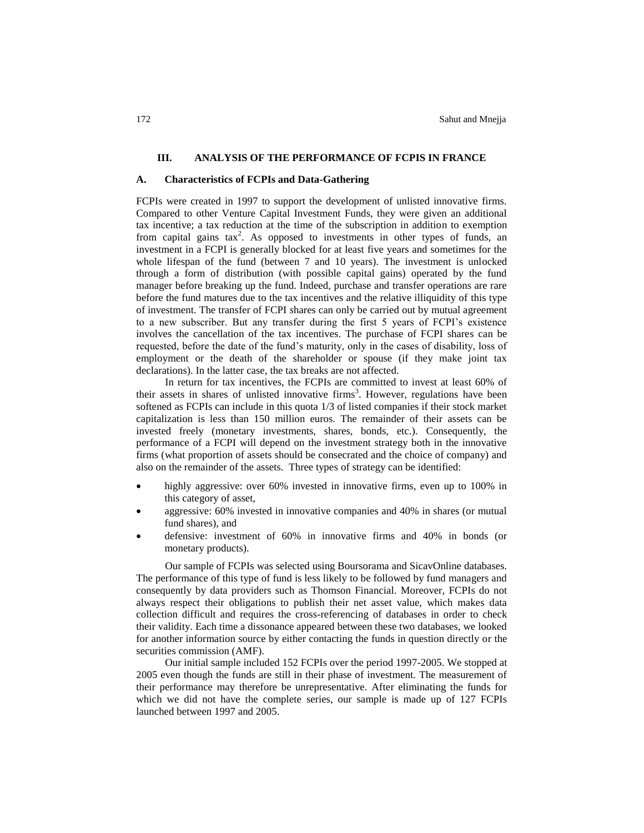#### **III. ANALYSIS OF THE PERFORMANCE OF FCPIS IN FRANCE**

#### **A. Characteristics of FCPIs and Data-Gathering**

FCPIs were created in 1997 to support the development of unlisted innovative firms. Compared to other Venture Capital Investment Funds, they were given an additional tax incentive; a tax reduction at the time of the subscription in addition to exemption from capital gains  $tax^2$ . As opposed to investments in other types of funds, an investment in a FCPI is generally blocked for at least five years and sometimes for the whole lifespan of the fund (between 7 and 10 years). The investment is unlocked through a form of distribution (with possible capital gains) operated by the fund manager before breaking up the fund. Indeed, purchase and transfer operations are rare before the fund matures due to the tax incentives and the relative illiquidity of this type of investment. The transfer of FCPI *s*hares can only be carried out by mutual agreement to a new subscriber. But any transfer during the first 5 years of FCPI's existence involves the cancellation of the tax incentives. The purchase of FCPI shares can be requested, before the date of the fund"s maturity, only in the cases of disability, loss of employment or the death of the shareholder or spouse (if they make joint tax declarations). In the latter case, the tax breaks are not affected.

In return for tax incentives, the FCPIs are committed to invest at least 60% of their assets in shares of unlisted innovative firms<sup>3</sup>. However, regulations have been softened as FCPIs can include in this quota 1/3 of listed companies if their stock market capitalization is less than 150 million euros. The remainder of their assets can be invested freely (monetary investments, shares, bonds, etc.). Consequently, the performance of a FCPI will depend on the investment strategy both in the innovative firms (what proportion of assets should be consecrated and the choice of company) and also on the remainder of the assets. Three types of strategy can be identified:

- highly aggressive: over 60% invested in innovative firms, even up to 100% in this category of asset,
- aggressive: 60% invested in innovative companies and 40% in shares (or mutual fund shares), and
- defensive: investment of 60% in innovative firms and 40% in bonds (or monetary products).

Our sample of FCPIs was selected using Boursorama and SicavOnline databases. The performance of this type of fund is less likely to be followed by fund managers and consequently by data providers such as Thomson Financial. Moreover, FCPIs do not always respect their obligations to publish their net asset value, which makes data collection difficult and requires the cross-referencing of databases in order to check their validity. Each time a dissonance appeared between these two databases, we looked for another information source by either contacting the funds in question directly or the securities commission (AMF).

Our initial sample included 152 FCPIs over the period 1997-2005. We stopped at 2005 even though the funds are still in their phase of investment. The measurement of their performance may therefore be unrepresentative. After eliminating the funds for which we did not have the complete series, our sample is made up of 127 FCPIs launched between 1997 and 2005.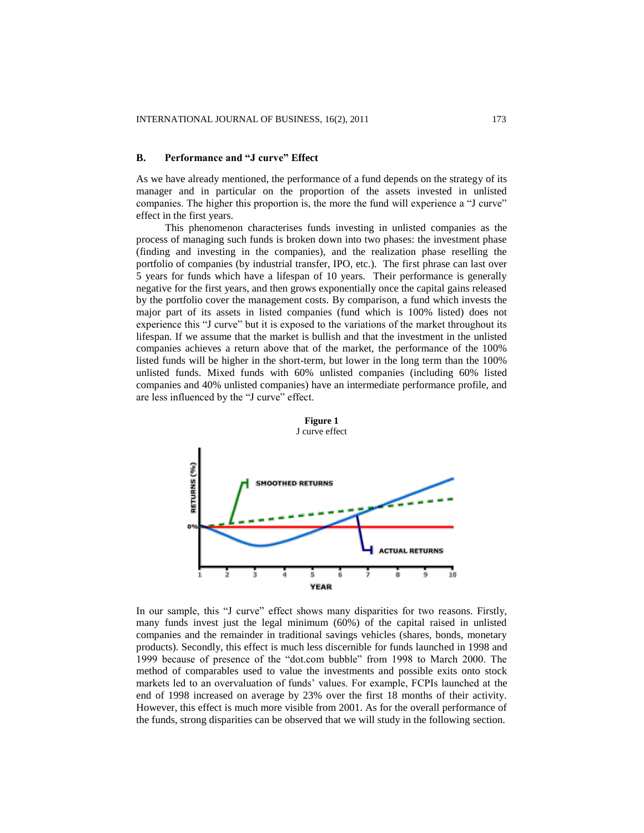# **B. Performance and "J curve" Effect**

As we have already mentioned, the performance of a fund depends on the strategy of its manager and in particular on the proportion of the assets invested in unlisted companies. The higher this proportion is, the more the fund will experience a "J curve" effect in the first years.

This phenomenon characterises funds investing in unlisted companies as the process of managing such funds is broken down into two phases: the investment phase (finding and investing in the companies), and the realization phase reselling the portfolio of companies (by industrial transfer, IPO, etc.). The first phrase can last over 5 years for funds which have a lifespan of 10 years. Their performance is generally negative for the first years, and then grows exponentially once the capital gains released by the portfolio cover the management costs. By comparison, a fund which invests the major part of its assets in listed companies (fund which is 100% listed) does not experience this "J curve" but it is exposed to the variations of the market throughout its lifespan. If we assume that the market is bullish and that the investment in the unlisted companies achieves a return above that of the market, the performance of the 100% listed funds will be higher in the short-term, but lower in the long term than the 100% unlisted funds. Mixed funds with 60% unlisted companies (including 60% listed companies and 40% unlisted companies) have an intermediate performance profile, and are less influenced by the "J curve" effect.



In our sample, this "J curve" effect shows many disparities for two reasons. Firstly, many funds invest just the legal minimum (60%) of the capital raised in unlisted companies and the remainder in traditional savings vehicles (shares, bonds, monetary products). Secondly, this effect is much less discernible for funds launched in 1998 and 1999 because of presence of the "dot.com bubble" from 1998 to March 2000. The method of comparables used to value the investments and possible exits onto stock markets led to an overvaluation of funds" values. For example, FCPIs launched at the end of 1998 increased on average by 23% over the first 18 months of their activity. However, this effect is much more visible from 2001. As for the overall performance of the funds, strong disparities can be observed that we will study in the following section.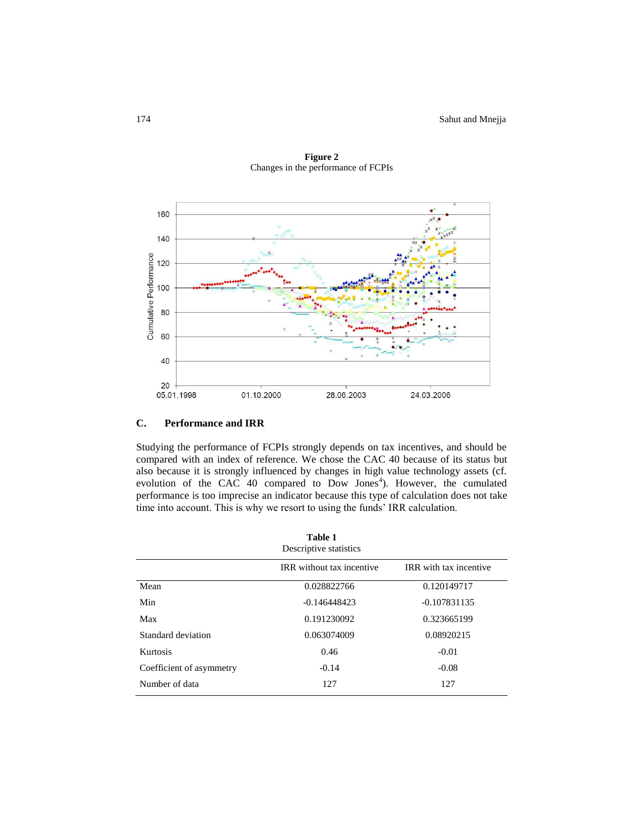

**Figure 2** Changes in the performance of FCPIs

# **C. Performance and IRR**

Studying the performance of FCPIs strongly depends on tax incentives, and should be compared with an index of reference. We chose the CAC 40 because of its status but also because it is strongly influenced by changes in high value technology assets (cf. evolution of the CAC 40 compared to Dow Jones<sup>4</sup>). However, the cumulated performance is too imprecise an indicator because this type of calculation does not take time into account. This is why we resort to using the funds' IRR calculation.

| Table 1<br>Descriptive statistics |                                  |                               |  |  |  |  |  |
|-----------------------------------|----------------------------------|-------------------------------|--|--|--|--|--|
|                                   | <b>IRR</b> without tax incentive | <b>IRR</b> with tax incentive |  |  |  |  |  |
| Mean                              | 0.028822766                      | 0.120149717                   |  |  |  |  |  |
| Min                               | $-0.146448423$                   | $-0.107831135$                |  |  |  |  |  |
| Max                               | 0.191230092                      | 0.323665199                   |  |  |  |  |  |
| Standard deviation                | 0.063074009                      | 0.08920215                    |  |  |  |  |  |
| Kurtosis                          | 0.46                             | $-0.01$                       |  |  |  |  |  |
| Coefficient of asymmetry          | $-0.14$                          | $-0.08$                       |  |  |  |  |  |
| Number of data                    | 127                              | 127                           |  |  |  |  |  |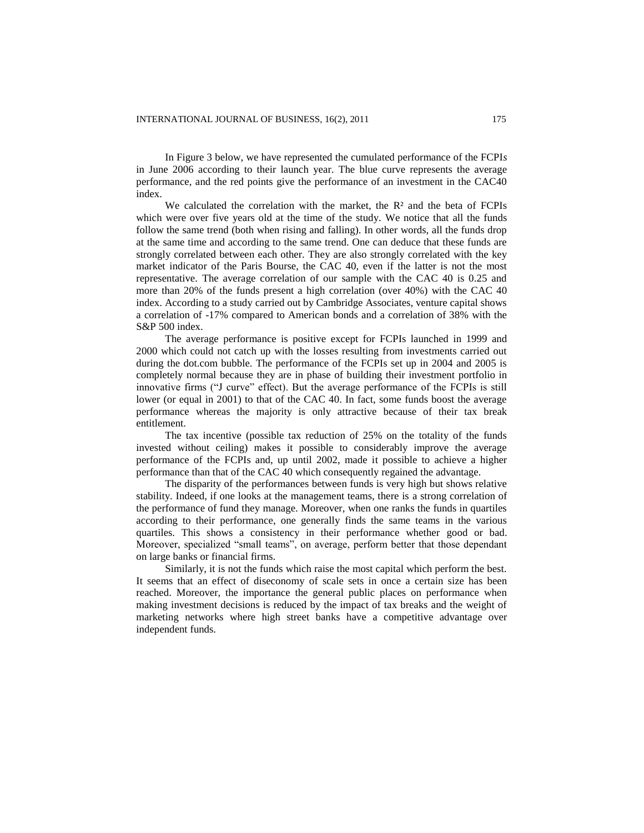In Figure 3 below, we have represented the cumulated performance of the FCPI*s* in June 2006 according to their launch year. The blue curve represents the average performance, and the red points give the performance of an investment in the CAC40 index.

We calculated the correlation with the market, the  $R<sup>2</sup>$  and the beta of FCPIs which were over five years old at the time of the study. We notice that all the funds follow the same trend (both when rising and falling). In other words, all the funds drop at the same time and according to the same trend. One can deduce that these funds are strongly correlated between each other. They are also strongly correlated with the key market indicator of the Paris Bourse, the CAC 40, even if the latter is not the most representative. The average correlation of our sample with the CAC 40 is 0.25 and more than 20% of the funds present a high correlation (over 40%) with the CAC 40 index. According to a study carried out by Cambridge Associates, venture capital shows a correlation of -17% compared to American bonds and a correlation of 38% with the S&P 500 index.

The average performance is positive except for FCPIs launched in 1999 and 2000 which could not catch up with the losses resulting from investments carried out during the dot.com bubble. The performance of the FCPIs set up in 2004 and 2005 is completely normal because they are in phase of building their investment portfolio in innovative firms ("J curve" effect). But the average performance of the FCPIs is still lower (or equal in 2001) to that of the CAC 40. In fact, some funds boost the average performance whereas the majority is only attractive because of their tax break entitlement.

The tax incentive (possible tax reduction of 25% on the totality of the funds invested without ceiling) makes it possible to considerably improve the average performance of the FCPIs and, up until 2002, made it possible to achieve a higher performance than that of the CAC 40 which consequently regained the advantage.

The disparity of the performances between funds is very high but shows relative stability. Indeed, if one looks at the management teams, there is a strong correlation of the performance of fund they manage. Moreover, when one ranks the funds in quartiles according to their performance, one generally finds the same teams in the various quartiles. This shows a consistency in their performance whether good or bad. Moreover, specialized "small teams", on average, perform better that those dependant on large banks or financial firms.

Similarly, it is not the funds which raise the most capital which perform the best. It seems that an effect of diseconomy of scale sets in once a certain size has been reached. Moreover, the importance the general public places on performance when making investment decisions is reduced by the impact of tax breaks and the weight of marketing networks where high street banks have a competitive advantage over independent funds.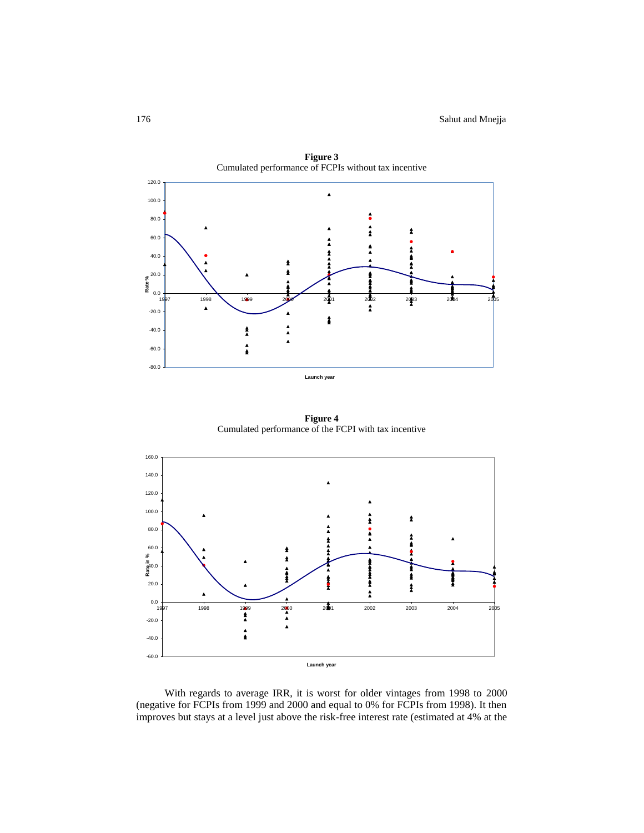

**Figure 3**

**Figure 4** Cumulated performance of the FCPI with tax incentive



With regards to average IRR, it is worst for older vintages from 1998 to 2000 (negative for FCPIs from 1999 and 2000 and equal to 0% for FCPIs from 1998). It then improves but stays at a level just above the risk-free interest rate (estimated at 4% at the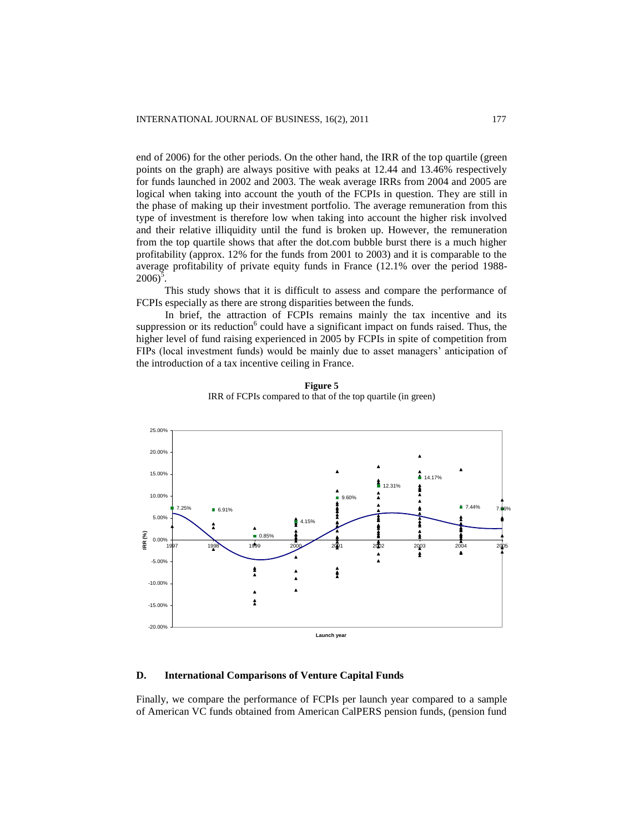end of 2006) for the other periods. On the other hand, the IRR of the top quartile (green points on the graph) are always positive with peaks at 12.44 and 13.46% respectively for funds launched in 2002 and 2003. The weak average IRRs from 2004 and 2005 are logical when taking into account the youth of the FCPIs in question. They are still in the phase of making up their investment portfolio. The average remuneration from this type of investment is therefore low when taking into account the higher risk involved and their relative illiquidity until the fund is broken up. However, the remuneration from the top quartile shows that after the dot.com bubble burst there is a much higher profitability (approx. 12% for the funds from 2001 to 2003) and it is comparable to the average profitability of private equity funds in France (12.1% over the period 1988-  $2006$ <sup>5</sup>.

This study shows that it is difficult to assess and compare the performance of FCPIs especially as there are strong disparities between the funds.

In brief, the attraction of FCPIs remains mainly the tax incentive and its suppression or its reduction $6$  could have a significant impact on funds raised. Thus, the higher level of fund raising experienced in 2005 by FCPIs in spite of competition from FIPs (local investment funds) would be mainly due to asset managers" anticipation of the introduction of a tax incentive ceiling in France.



**Figure 5** IRR of FCPIs compared to that of the top quartile (in green)

# **D. International Comparisons of Venture Capital Funds**

Finally, we compare the performance of FCPIs per launch year compared to a sample of American VC funds obtained from American CalPERS pension funds, (pension fund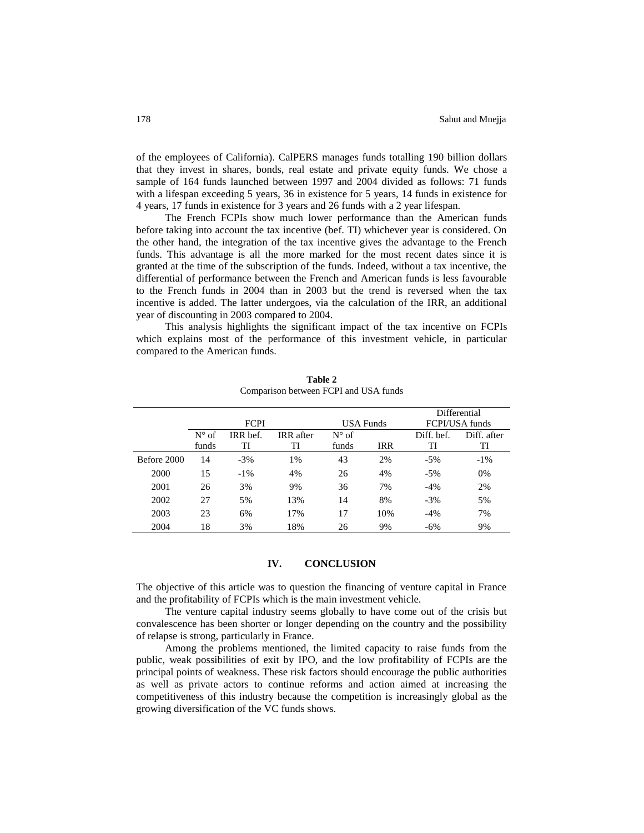of the employees of California). CalPERS manages funds totalling 190 billion dollars that they invest in shares, bonds, real estate and private equity funds. We chose a sample of 164 funds launched between 1997 and 2004 divided as follows: 71 funds with a lifespan exceeding 5 years, 36 in existence for 5 years, 14 funds in existence for 4 years, 17 funds in existence for 3 years and 26 funds with a 2 year lifespan.

The French FCPIs show much lower performance than the American funds before taking into account the tax incentive (bef. TI) whichever year is considered. On the other hand, the integration of the tax incentive gives the advantage to the French funds. This advantage is all the more marked for the most recent dates since it is granted at the time of the subscription of the funds. Indeed, without a tax incentive, the differential of performance between the French and American funds is less favourable to the French funds in 2004 than in 2003 but the trend is reversed when the tax incentive is added. The latter undergoes, via the calculation of the IRR, an additional year of discounting in 2003 compared to 2004.

This analysis highlights the significant impact of the tax incentive on FCPIs which explains most of the performance of this investment vehicle, in particular compared to the American funds.

|             |                |          |                  |                |                | Differential |             |
|-------------|----------------|----------|------------------|----------------|----------------|--------------|-------------|
|             | <b>FCPI</b>    |          | USA Funds        |                | FCPI/USA funds |              |             |
|             | $N^{\circ}$ of | IRR bef. | <b>IRR</b> after | $N^{\circ}$ of |                | Diff. bef.   | Diff. after |
|             | funds          | TI       | TI               | funds          | <b>IRR</b>     | TI           | TI          |
| Before 2000 | 14             | $-3%$    | 1%               | 43             | 2%             | $-5%$        | $-1\%$      |
| 2000        | 15             | $-1\%$   | 4%               | 26             | 4%             | $-5%$        | 0%          |
| 2001        | 26             | 3%       | 9%               | 36             | 7%             | $-4%$        | 2%          |
| 2002        | 27             | 5%       | 13%              | 14             | 8%             | $-3%$        | 5%          |
| 2003        | 23             | 6%       | 17%              | 17             | 10%            | $-4%$        | 7%          |
| 2004        | 18             | 3%       | 18%              | 26             | 9%             | $-6\%$       | 9%          |

**Table 2** Comparison between FCPI and USA funds

#### **IV. CONCLUSION**

The objective of this article was to question the financing of venture capital in France and the profitability of FCPIs which is the main investment vehicle.

The venture capital industry seems globally to have come out of the crisis but convalescence has been shorter or longer depending on the country and the possibility of relapse is strong, particularly in France.

Among the problems mentioned, the limited capacity to raise funds from the public, weak possibilities of exit by IPO, and the low profitability of FCPIs are the principal points of weakness. These risk factors should encourage the public authorities as well as private actors to continue reforms and action aimed at increasing the competitiveness of this industry because the competition is increasingly global as the growing diversification of the VC funds shows.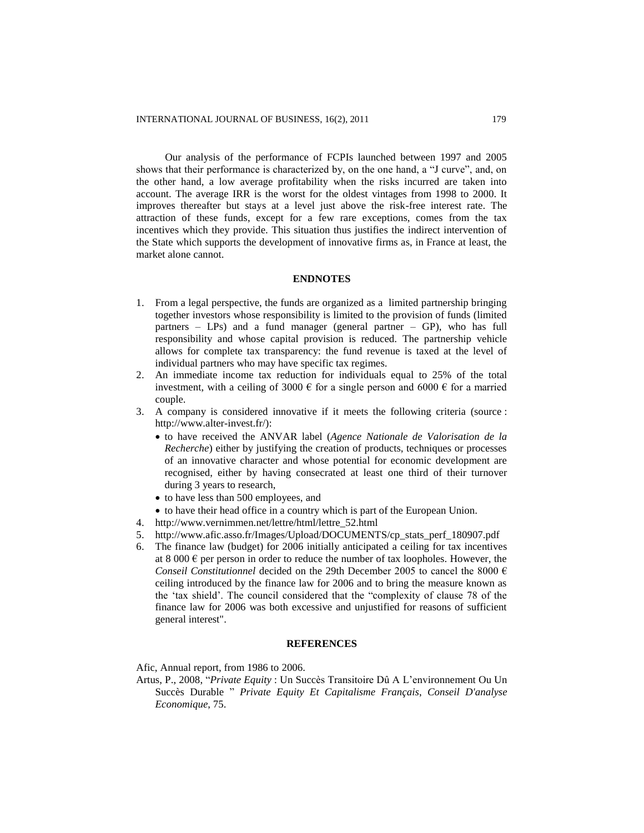Our analysis of the performance of FCPIs launched between 1997 and 2005 shows that their performance is characterized by, on the one hand, a "J curve", and, on the other hand, a low average profitability when the risks incurred are taken into account. The average IRR is the worst for the oldest vintages from 1998 to 2000. It improves thereafter but stays at a level just above the risk-free interest rate. The attraction of these funds, except for a few rare exceptions, comes from the tax incentives which they provide. This situation thus justifies the indirect intervention of the State which supports the development of innovative firms as, in France at least, the market alone cannot.

# **ENDNOTES**

- 1. From a legal perspective, the funds are organized as a limited partnership bringing together investors whose responsibility is limited to the provision of funds (limited partners – LPs) and a fund manager (general partner – GP), who has full responsibility and whose capital provision is reduced. The partnership vehicle allows for complete tax transparency: the fund revenue is taxed at the level of individual partners who may have specific tax regimes.
- 2. An immediate income tax reduction for individuals equal to 25% of the total investment, with a ceiling of 3000  $\epsilon$  for a single person and 6000  $\epsilon$  for a married couple.
- 3. A company is considered innovative if it meets the following criteria (source : http://www.alter-invest.fr/):
	- to have received the ANVAR label (*Agence Nationale de Valorisation de la Recherche*) either by justifying the creation of products, techniques or processes of an innovative character and whose potential for economic development are recognised, either by having consecrated at least one third of their turnover during 3 years to research,
	- to have less than 500 employees, and
	- to have their head office in a country which is part of the European Union.
- 4. [http://www.vernimmen.net/lettre/html/lettre\\_52.html](http://www.vernimmen.net/lettre/html/lettre_52.html)
- 5. [http://www.afic.asso.fr/Images/Upload/DOCUMENTS/cp\\_stats\\_perf\\_180907.pdf](http://www.afic.asso.fr/Images/Upload/DOCUMENTS/cp_stats_perf_180907.pdf)
- 6. The finance law (budget) for 2006 initially anticipated a ceiling for tax incentives at 8 000  $\epsilon$  per person in order to reduce the number of tax loopholes. However, the *Conseil Constitutionnel* decided on the 29th December 2005 to cancel the 8000 € ceiling introduced by the finance law for 2006 and to bring the measure known as the "tax shield". The council considered that the "complexity of clause 78 of the finance law for 2006 was both excessive and unjustified for reasons of sufficient general interest".

#### **REFERENCES**

Afic, Annual report, from 1986 to 2006.

Artus, P., 2008, "*Private Equity* : Un Succès Transitoire Dû A L"environnement Ou Un Succès Durable " *Private Equity Et Capitalisme Français*, *Conseil D'analyse Economique*, 75.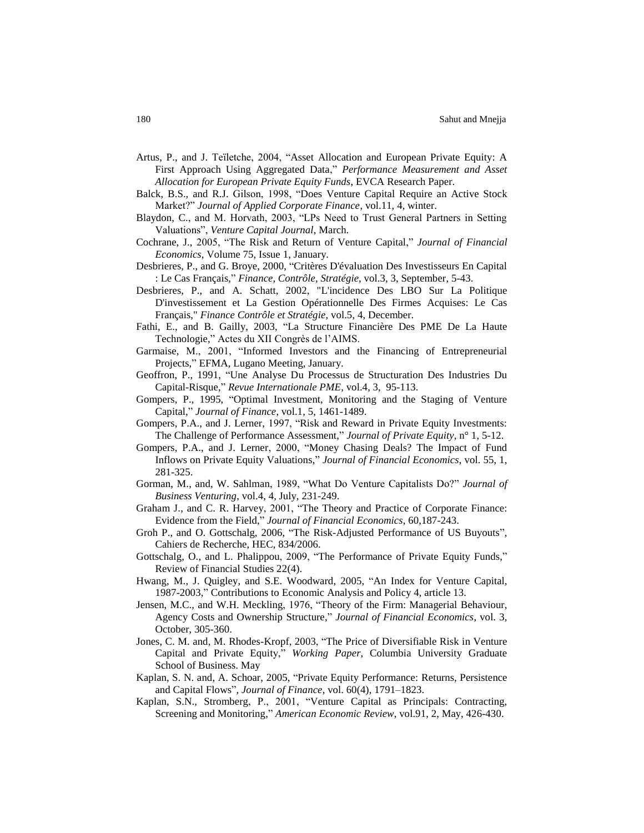- Artus, P., and J. Teïletche, 2004, "Asset Allocation and European Private Equity: A First Approach Using Aggregated Data," *Performance Measurement and Asset Allocation for European Private Equity Funds*, EVCA Research Paper.
- Balck, B.S., and R.J. Gilson, 1998, "Does Venture Capital Require an Active Stock Market?" *Journal of Applied Corporate Finance*, vol.11, 4, winter.
- Blaydon, C., and M. Horvath, 2003, "LPs Need to Trust General Partners in Setting Valuations", *Venture Capital Journal*, March.
- Cochrane, J., 2005, "The Risk and Return of Venture Capital," *Journal of Financial Economics*, Volume 75, Issue 1, January.
- Desbrieres, P., and G. Broye, 2000, "Critères D'évaluation Des Investisseurs En Capital : Le Cas Français," *Finance, Contrôle, Stratégie*, vol.3, 3, September, 5-43.
- Desbrieres, P., and A. Schatt, 2002, "L'incidence Des LBO Sur La Politique D'investissement et La Gestion Opérationnelle Des Firmes Acquises: Le Cas Français," *Finance Contrôle et Stratégie*, vol.5, 4, December.
- Fathi, E., and B. Gailly, 2003, "La Structure Financière Des PME De La Haute Technologie," Actes du XII Congrès de l"AIMS.
- Garmaise, M., 2001, "Informed Investors and the Financing of Entrepreneurial Projects," EFMA, Lugano Meeting, January.
- Geoffron, P., 1991, "Une Analyse Du Processus de Structuration Des Industries Du Capital-Risque," *Revue Internationale PME*, vol.4, 3, 95-113.
- Gompers, P., 1995, "Optimal Investment, Monitoring and the Staging of Venture Capital," *Journal of Finance*, vol.1, 5, 1461-1489.
- Gompers, P.A., and J. Lerner, 1997, "Risk and Reward in Private Equity Investments: The Challenge of Performance Assessment," *Journal of Private Equity*, n° 1, 5-12.
- Gompers, P.A., and J. Lerner, 2000, "Money Chasing Deals? The Impact of Fund Inflows on Private Equity Valuations," *Journal of Financial Economics*, vol. 55, 1, 281-325.
- Gorman, M., and, W. Sahlman, 1989, "What Do Venture Capitalists Do?" *Journal of Business Venturing*, vol.4, 4, July, 231-249.
- Graham J., and C. R. Harvey, 2001, "The Theory and Practice of Corporate Finance: Evidence from the Field," *Journal of Financial Economics*, 60,187-243.
- Groh P., and O. Gottschalg, 2006, "The Risk-Adjusted Performance of US Buyouts", Cahiers de Recherche, HEC, 834/2006.
- Gottschalg, O., and L. Phalippou, 2009, "The Performance of Private Equity Funds," Review of Financial Studies 22(4).
- Hwang, M., J. Quigley, and S.E. Woodward, 2005, "An Index for Venture Capital, 1987-2003," Contributions to Economic Analysis and Policy 4, article 13.
- Jensen, M.C., and W.H. Meckling, 1976, "Theory of the Firm: Managerial Behaviour, Agency Costs and Ownership Structure," *Journal of Financial Economics*, vol. 3, October, 305-360.
- Jones, C. M. and, M. Rhodes-Kropf, 2003, "The Price of Diversifiable Risk in Venture Capital and Private Equity," *Working Paper*, Columbia University Graduate School of Business. May
- Kaplan, S. N. and, A. Schoar, 2005, "Private Equity Performance: Returns, Persistence and Capital Flows", *Journal of Finance*, vol. 60(4), 1791–1823.
- Kaplan, S.N., Stromberg, P., 2001, "Venture Capital as Principals: Contracting, Screening and Monitoring," *American Economic Review*, vol.91, 2, May, 426-430.